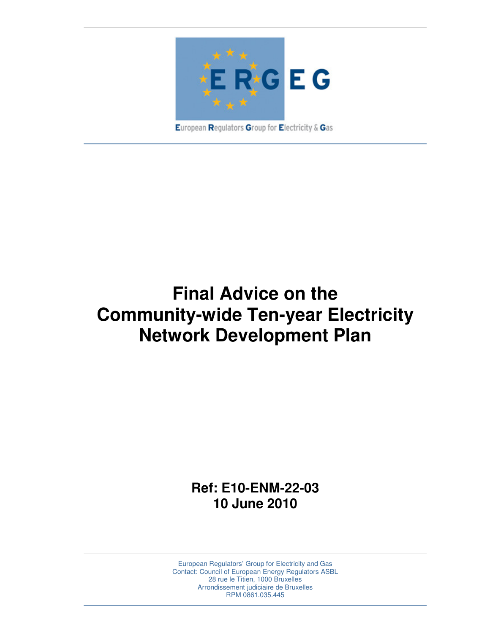

European Regulators Group for Electricity & Gas

# **Final Advice on the Community-wide Ten-year Electricity Network Development Plan**

**Ref: E10-ENM-22-03 10 June 2010** 

European Regulators' Group for Electricity and Gas Contact: Council of European Energy Regulators ASBL 28 rue le Titien, 1000 Bruxelles Arrondissement judiciaire de Bruxelles RPM 0861.035.445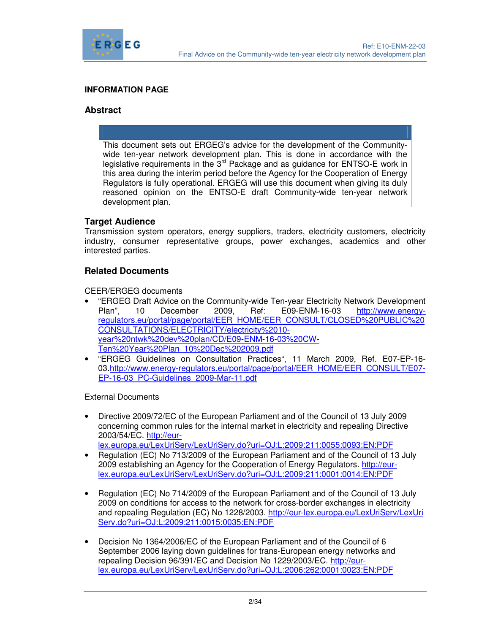

#### **INFORMATION PAGE**

#### **Abstract**

This document sets out ERGEG's advice for the development of the Communitywide ten-year network development plan. This is done in accordance with the legislative requirements in the  $3<sup>rd</sup>$  Package and as guidance for ENTSO-E work in this area during the interim period before the Agency for the Cooperation of Energy Regulators is fully operational. ERGEG will use this document when giving its duly reasoned opinion on the ENTSO-E draft Community-wide ten-year network development plan.

#### **Target Audience**

Transmission system operators, energy suppliers, traders, electricity customers, electricity industry, consumer representative groups, power exchanges, academics and other interested parties.

#### **Related Documents**

CEER/ERGEG documents

- "ERGEG Draft Advice on the Community-wide Ten-year Electricity Network Development Plan", 10 December 2009, Ref: E09-ENM-16-03 http://www.energyregulators.eu/portal/page/portal/EER\_HOME/EER\_CONSULT/CLOSED%20PUBLIC%20 CONSULTATIONS/ELECTRICITY/electricity%2010 year%20ntwk%20dev%20plan/CD/E09-ENM-16-03%20CW-Ten%20Year%20Plan\_10%20Dec%202009.pdf
- "ERGEG Guidelines on Consultation Practices", 11 March 2009, Ref. E07-EP-16- 03.http://www.energy-regulators.eu/portal/page/portal/EER\_HOME/EER\_CONSULT/E07- EP-16-03\_PC-Guidelines\_2009-Mar-11.pdf

External Documents

- Directive 2009/72/EC of the European Parliament and of the Council of 13 July 2009 concerning common rules for the internal market in electricity and repealing Directive 2003/54/EC. http://eurlex.europa.eu/LexUriServ/LexUriServ.do?uri=OJ:L:2009:211:0055:0093:EN:PDF
- Regulation (EC) No 713/2009 of the European Parliament and of the Council of 13 July
- 2009 establishing an Agency for the Cooperation of Energy Regulators. http://eurlex.europa.eu/LexUriServ/LexUriServ.do?uri=OJ:L:2009:211:0001:0014:EN:PDF
- Regulation (EC) No 714/2009 of the European Parliament and of the Council of 13 July 2009 on conditions for access to the network for cross-border exchanges in electricity and repealing Regulation (EC) No 1228/2003. http://eur-lex.europa.eu/LexUriServ/LexUri Serv.do?uri=OJ:L:2009:211:0015:0035:EN:PDF
- Decision No 1364/2006/EC of the European Parliament and of the Council of 6 September 2006 laying down guidelines for trans-European energy networks and repealing Decision 96/391/EC and Decision No 1229/2003/EC. http://eurlex.europa.eu/LexUriServ/LexUriServ.do?uri=OJ:L:2006:262:0001:0023:EN:PDF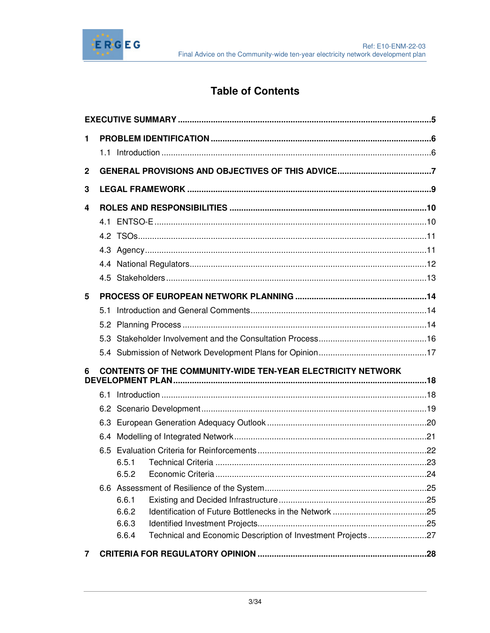

# **Table of Contents**

| 1                                                                       |  |       |                                                             |  |  |
|-------------------------------------------------------------------------|--|-------|-------------------------------------------------------------|--|--|
|                                                                         |  |       |                                                             |  |  |
| $\mathbf 2$                                                             |  |       |                                                             |  |  |
| 3                                                                       |  |       |                                                             |  |  |
| 4                                                                       |  |       |                                                             |  |  |
|                                                                         |  |       |                                                             |  |  |
|                                                                         |  |       |                                                             |  |  |
|                                                                         |  |       |                                                             |  |  |
|                                                                         |  |       |                                                             |  |  |
|                                                                         |  |       |                                                             |  |  |
| 5                                                                       |  |       |                                                             |  |  |
|                                                                         |  |       |                                                             |  |  |
|                                                                         |  |       |                                                             |  |  |
|                                                                         |  |       |                                                             |  |  |
|                                                                         |  |       |                                                             |  |  |
| <b>CONTENTS OF THE COMMUNITY-WIDE TEN-YEAR ELECTRICITY NETWORK</b><br>6 |  |       |                                                             |  |  |
|                                                                         |  |       |                                                             |  |  |
|                                                                         |  |       |                                                             |  |  |
|                                                                         |  |       |                                                             |  |  |
|                                                                         |  |       |                                                             |  |  |
|                                                                         |  |       |                                                             |  |  |
|                                                                         |  | 6.5.1 |                                                             |  |  |
|                                                                         |  |       |                                                             |  |  |
|                                                                         |  | 6.6.1 |                                                             |  |  |
|                                                                         |  | 6.6.2 |                                                             |  |  |
|                                                                         |  | 6.6.3 |                                                             |  |  |
|                                                                         |  | 6.6.4 | Technical and Economic Description of Investment Projects27 |  |  |
| 7                                                                       |  |       |                                                             |  |  |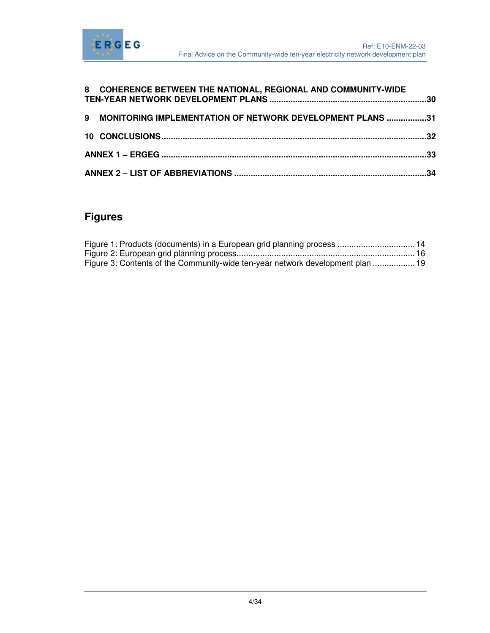

|  | 8 COHERENCE BETWEEN THE NATIONAL, REGIONAL AND COMMUNITY-WIDE |  |  |  |
|--|---------------------------------------------------------------|--|--|--|
|  | 9 MONITORING IMPLEMENTATION OF NETWORK DEVELOPMENT PLANS 31   |  |  |  |
|  |                                                               |  |  |  |
|  |                                                               |  |  |  |
|  |                                                               |  |  |  |

# **Figures**

| Figure 1: Products (documents) in a European grid planning process  14         |  |
|--------------------------------------------------------------------------------|--|
|                                                                                |  |
| Figure 3: Contents of the Community-wide ten-year network development plan  19 |  |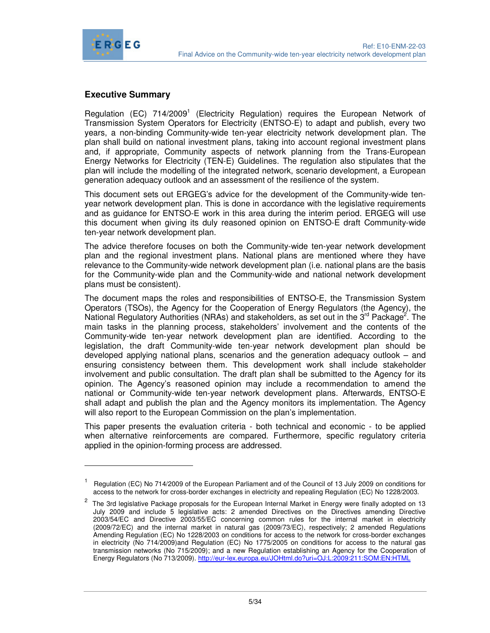

-

#### **Executive Summary**

Regulation (EC) 714/2009<sup>1</sup> (Electricity Regulation) requires the European Network of Transmission System Operators for Electricity (ENTSO-E) to adapt and publish, every two years, a non-binding Community-wide ten-year electricity network development plan. The plan shall build on national investment plans, taking into account regional investment plans and, if appropriate, Community aspects of network planning from the Trans-European Energy Networks for Electricity (TEN-E) Guidelines. The regulation also stipulates that the plan will include the modelling of the integrated network, scenario development, a European generation adequacy outlook and an assessment of the resilience of the system.

This document sets out ERGEG's advice for the development of the Community-wide tenyear network development plan. This is done in accordance with the legislative requirements and as guidance for ENTSO-E work in this area during the interim period. ERGEG will use this document when giving its duly reasoned opinion on ENTSO-E draft Community-wide ten-year network development plan.

The advice therefore focuses on both the Community-wide ten-year network development plan and the regional investment plans. National plans are mentioned where they have relevance to the Community-wide network development plan (i.e. national plans are the basis for the Community-wide plan and the Community-wide and national network development plans must be consistent).

The document maps the roles and responsibilities of ENTSO-E, the Transmission System Operators (TSOs), the Agency for the Cooperation of Energy Regulators (the Agency), the National Regulatory Authorities (NRAs) and stakeholders, as set out in the 3<sup>rd</sup> Package<sup>2</sup>. The main tasks in the planning process, stakeholders' involvement and the contents of the Community-wide ten-year network development plan are identified. According to the legislation, the draft Community-wide ten-year network development plan should be developed applying national plans, scenarios and the generation adequacy outlook – and ensuring consistency between them. This development work shall include stakeholder involvement and public consultation. The draft plan shall be submitted to the Agency for its opinion. The Agency's reasoned opinion may include a recommendation to amend the national or Community-wide ten-year network development plans. Afterwards, ENTSO-E shall adapt and publish the plan and the Agency monitors its implementation. The Agency will also report to the European Commission on the plan's implementation.

This paper presents the evaluation criteria - both technical and economic - to be applied when alternative reinforcements are compared. Furthermore, specific regulatory criteria applied in the opinion-forming process are addressed.

<sup>1</sup> Regulation (EC) No 714/2009 of the European Parliament and of the Council of 13 July 2009 on conditions for access to the network for cross-border exchanges in electricity and repealing Regulation (EC) No 1228/2003.

 $2$  The 3rd legislative Package proposals for the European Internal Market in Energy were finally adopted on 13 July 2009 and include 5 legislative acts: 2 amended Directives on the Directives amending Directive 2003/54/EC and Directive 2003/55/EC concerning common rules for the internal market in electricity (2009/72/EC) and the internal market in natural gas (2009/73/EC), respectively; 2 amended Regulations Amending Regulation (EC) No 1228/2003 on conditions for access to the network for cross-border exchanges in electricity (No 714/2009)and Regulation (EC) No 1775/2005 on conditions for access to the natural gas transmission networks (No 715/2009); and a new Regulation establishing an Agency for the Cooperation of Energy Regulators (No 713/2009). http://eur-lex.europa.eu/JOHtml.do?uri=OJ:L:2009:211:SOM:EN:HTML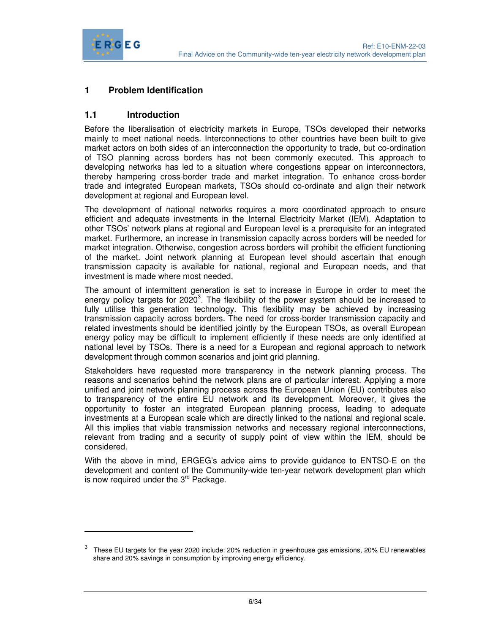

-

### **1 Problem Identification**

#### **1.1 Introduction**

Before the liberalisation of electricity markets in Europe, TSOs developed their networks mainly to meet national needs. Interconnections to other countries have been built to give market actors on both sides of an interconnection the opportunity to trade, but co-ordination of TSO planning across borders has not been commonly executed. This approach to developing networks has led to a situation where congestions appear on interconnectors, thereby hampering cross-border trade and market integration. To enhance cross-border trade and integrated European markets, TSOs should co-ordinate and align their network development at regional and European level.

The development of national networks requires a more coordinated approach to ensure efficient and adequate investments in the Internal Electricity Market (IEM). Adaptation to other TSOs' network plans at regional and European level is a prerequisite for an integrated market. Furthermore, an increase in transmission capacity across borders will be needed for market integration. Otherwise, congestion across borders will prohibit the efficient functioning of the market. Joint network planning at European level should ascertain that enough transmission capacity is available for national, regional and European needs, and that investment is made where most needed.

The amount of intermittent generation is set to increase in Europe in order to meet the energy policy targets for 2020<sup>3</sup>. The flexibility of the power system should be increased to fully utilise this generation technology. This flexibility may be achieved by increasing transmission capacity across borders. The need for cross-border transmission capacity and related investments should be identified jointly by the European TSOs, as overall European energy policy may be difficult to implement efficiently if these needs are only identified at national level by TSOs. There is a need for a European and regional approach to network development through common scenarios and joint grid planning.

Stakeholders have requested more transparency in the network planning process. The reasons and scenarios behind the network plans are of particular interest. Applying a more unified and joint network planning process across the European Union (EU) contributes also to transparency of the entire EU network and its development. Moreover, it gives the opportunity to foster an integrated European planning process, leading to adequate investments at a European scale which are directly linked to the national and regional scale. All this implies that viable transmission networks and necessary regional interconnections, relevant from trading and a security of supply point of view within the IEM, should be considered.

With the above in mind, ERGEG's advice aims to provide guidance to ENTSO-E on the development and content of the Community-wide ten-year network development plan which is now required under the  $3<sup>rd</sup>$  Package.

<sup>3</sup> These EU targets for the year 2020 include: 20% reduction in greenhouse gas emissions, 20% EU renewables share and 20% savings in consumption by improving energy efficiency.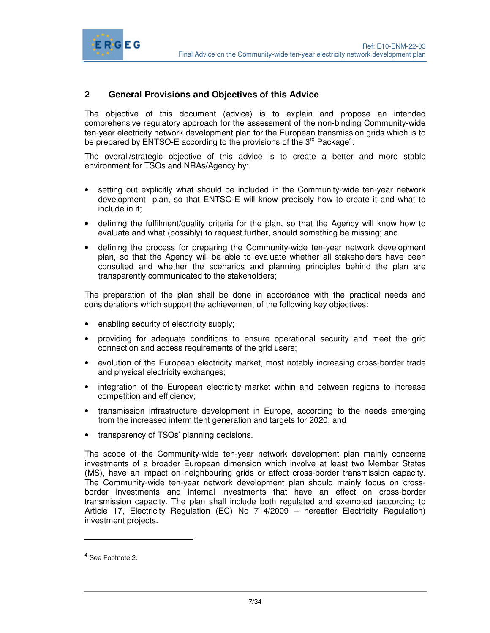

#### **2 General Provisions and Objectives of this Advice**

ERGEG

The objective of this document (advice) is to explain and propose an intended comprehensive regulatory approach for the assessment of the non-binding Community-wide ten-year electricity network development plan for the European transmission grids which is to be prepared by ENTSO-E according to the provisions of the 3 $^{\text{rd}}$  Package<sup>4</sup>.

The overall/strategic objective of this advice is to create a better and more stable environment for TSOs and NRAs/Agency by:

- setting out explicitly what should be included in the Community-wide ten-year network development plan, so that ENTSO-E will know precisely how to create it and what to include in it;
- defining the fulfilment/quality criteria for the plan, so that the Agency will know how to evaluate and what (possibly) to request further, should something be missing; and
- defining the process for preparing the Community-wide ten-year network development plan, so that the Agency will be able to evaluate whether all stakeholders have been consulted and whether the scenarios and planning principles behind the plan are transparently communicated to the stakeholders;

The preparation of the plan shall be done in accordance with the practical needs and considerations which support the achievement of the following key objectives:

- enabling security of electricity supply;
- providing for adequate conditions to ensure operational security and meet the grid connection and access requirements of the grid users;
- evolution of the European electricity market, most notably increasing cross-border trade and physical electricity exchanges;
- integration of the European electricity market within and between regions to increase competition and efficiency;
- transmission infrastructure development in Europe, according to the needs emerging from the increased intermittent generation and targets for 2020; and
- transparency of TSOs' planning decisions.

The scope of the Community-wide ten-year network development plan mainly concerns investments of a broader European dimension which involve at least two Member States (MS), have an impact on neighbouring grids or affect cross-border transmission capacity. The Community-wide ten-year network development plan should mainly focus on crossborder investments and internal investments that have an effect on cross-border transmission capacity. The plan shall include both regulated and exempted (according to Article 17, Electricity Regulation (EC) No 714/2009 – hereafter Electricity Regulation) investment projects.

-

<sup>&</sup>lt;sup>4</sup> See Footnote 2.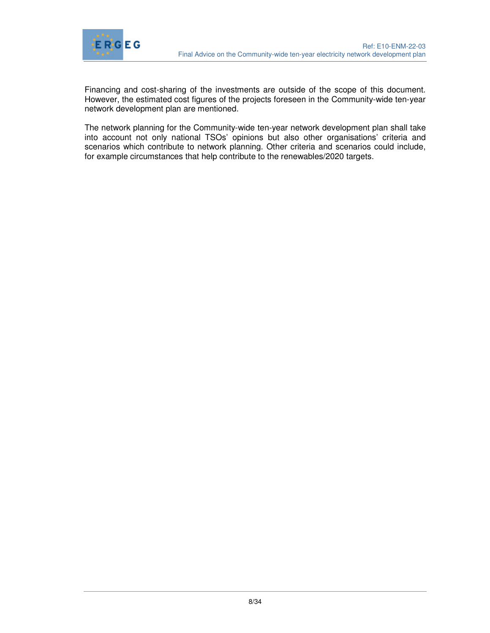

Financing and cost-sharing of the investments are outside of the scope of this document. However, the estimated cost figures of the projects foreseen in the Community-wide ten-year network development plan are mentioned.

The network planning for the Community-wide ten-year network development plan shall take into account not only national TSOs' opinions but also other organisations' criteria and scenarios which contribute to network planning. Other criteria and scenarios could include, for example circumstances that help contribute to the renewables/2020 targets.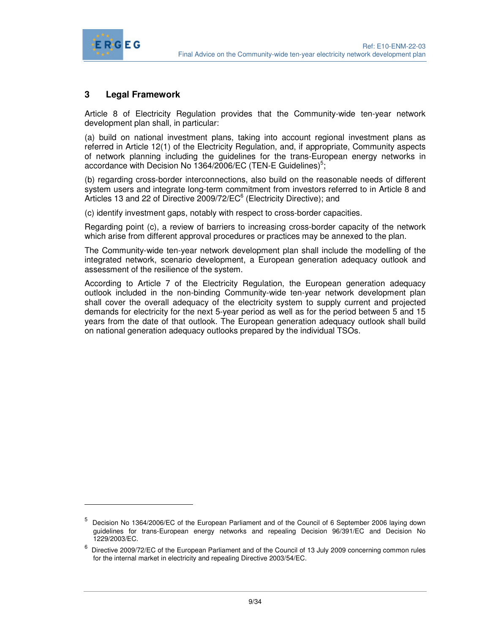

 $\overline{a}$ 

#### **3 Legal Framework**

Article 8 of Electricity Regulation provides that the Community-wide ten-year network development plan shall, in particular:

(a) build on national investment plans, taking into account regional investment plans as referred in Article 12(1) of the Electricity Regulation, and, if appropriate, Community aspects of network planning including the guidelines for the trans-European energy networks in accordance with Decision No 1364/2006/EC (TEN-E Guidelines)<sup>5</sup>;

(b) regarding cross-border interconnections, also build on the reasonable needs of different system users and integrate long-term commitment from investors referred to in Article 8 and Articles 13 and 22 of Directive 2009/72/EC<sup>6</sup> (Electricity Directive); and

(c) identify investment gaps, notably with respect to cross-border capacities.

Regarding point (c), a review of barriers to increasing cross-border capacity of the network which arise from different approval procedures or practices may be annexed to the plan.

The Community-wide ten-year network development plan shall include the modelling of the integrated network, scenario development, a European generation adequacy outlook and assessment of the resilience of the system.

According to Article 7 of the Electricity Regulation, the European generation adequacy outlook included in the non-binding Community-wide ten-year network development plan shall cover the overall adequacy of the electricity system to supply current and projected demands for electricity for the next 5-year period as well as for the period between 5 and 15 years from the date of that outlook. The European generation adequacy outlook shall build on national generation adequacy outlooks prepared by the individual TSOs.

<sup>5</sup> Decision No 1364/2006/EC of the European Parliament and of the Council of 6 September 2006 laying down guidelines for trans-European energy networks and repealing Decision 96/391/EC and Decision No 1229/2003/EC.

<sup>&</sup>lt;sup>6</sup> Directive 2009/72/EC of the European Parliament and of the Council of 13 July 2009 concerning common rules for the internal market in electricity and repealing Directive 2003/54/EC.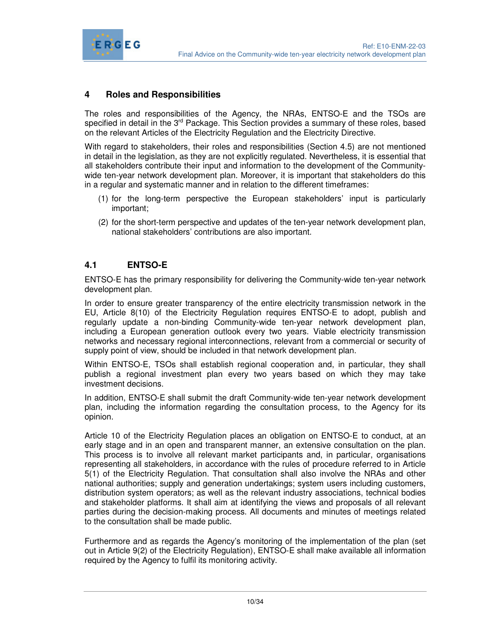

#### **4 Roles and Responsibilities**

The roles and responsibilities of the Agency, the NRAs, ENTSO-E and the TSOs are specified in detail in the 3<sup>rd</sup> Package. This Section provides a summary of these roles, based on the relevant Articles of the Electricity Regulation and the Electricity Directive.

With regard to stakeholders, their roles and responsibilities (Section 4.5) are not mentioned in detail in the legislation, as they are not explicitly regulated. Nevertheless, it is essential that all stakeholders contribute their input and information to the development of the Communitywide ten-year network development plan. Moreover, it is important that stakeholders do this in a regular and systematic manner and in relation to the different timeframes:

- (1) for the long-term perspective the European stakeholders' input is particularly important;
- (2) for the short-term perspective and updates of the ten-year network development plan, national stakeholders' contributions are also important.

#### **4.1 ENTSO-E**

ENTSO-E has the primary responsibility for delivering the Community-wide ten-year network development plan.

In order to ensure greater transparency of the entire electricity transmission network in the EU, Article 8(10) of the Electricity Regulation requires ENTSO-E to adopt, publish and regularly update a non-binding Community-wide ten-year network development plan, including a European generation outlook every two years. Viable electricity transmission networks and necessary regional interconnections, relevant from a commercial or security of supply point of view, should be included in that network development plan.

Within ENTSO-E, TSOs shall establish regional cooperation and, in particular, they shall publish a regional investment plan every two years based on which they may take investment decisions.

In addition, ENTSO-E shall submit the draft Community-wide ten-year network development plan, including the information regarding the consultation process, to the Agency for its opinion.

Article 10 of the Electricity Regulation places an obligation on ENTSO-E to conduct, at an early stage and in an open and transparent manner, an extensive consultation on the plan. This process is to involve all relevant market participants and, in particular, organisations representing all stakeholders, in accordance with the rules of procedure referred to in Article 5(1) of the Electricity Regulation. That consultation shall also involve the NRAs and other national authorities; supply and generation undertakings; system users including customers, distribution system operators; as well as the relevant industry associations, technical bodies and stakeholder platforms. It shall aim at identifying the views and proposals of all relevant parties during the decision-making process. All documents and minutes of meetings related to the consultation shall be made public.

Furthermore and as regards the Agency's monitoring of the implementation of the plan (set out in Article 9(2) of the Electricity Regulation), ENTSO-E shall make available all information required by the Agency to fulfil its monitoring activity.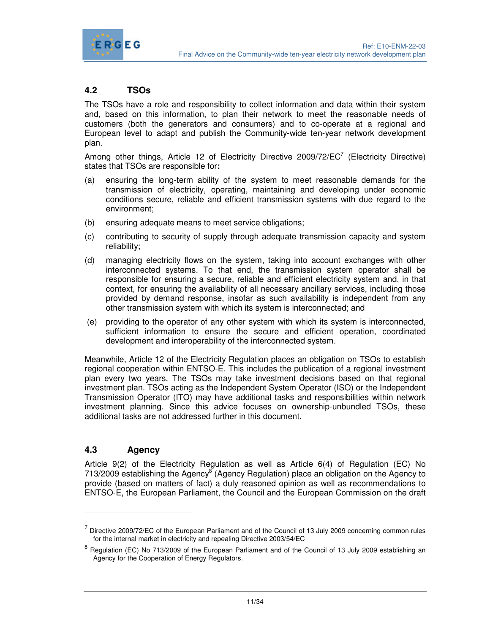

## **4.2 TSOs**

The TSOs have a role and responsibility to collect information and data within their system and, based on this information, to plan their network to meet the reasonable needs of customers (both the generators and consumers) and to co-operate at a regional and European level to adapt and publish the Community-wide ten-year network development plan.

Among other things, Article 12 of Electricity Directive 2009/72/EC<sup>7</sup> (Electricity Directive) states that TSOs are responsible for**:** 

- (a) ensuring the long-term ability of the system to meet reasonable demands for the transmission of electricity, operating, maintaining and developing under economic conditions secure, reliable and efficient transmission systems with due regard to the environment;
- (b) ensuring adequate means to meet service obligations;
- (c) contributing to security of supply through adequate transmission capacity and system reliability;
- (d) managing electricity flows on the system, taking into account exchanges with other interconnected systems. To that end, the transmission system operator shall be responsible for ensuring a secure, reliable and efficient electricity system and, in that context, for ensuring the availability of all necessary ancillary services, including those provided by demand response, insofar as such availability is independent from any other transmission system with which its system is interconnected; and
- (e) providing to the operator of any other system with which its system is interconnected, sufficient information to ensure the secure and efficient operation, coordinated development and interoperability of the interconnected system.

Meanwhile, Article 12 of the Electricity Regulation places an obligation on TSOs to establish regional cooperation within ENTSO-E. This includes the publication of a regional investment plan every two years. The TSOs may take investment decisions based on that regional investment plan. TSOs acting as the Independent System Operator (ISO) or the Independent Transmission Operator (ITO) may have additional tasks and responsibilities within network investment planning. Since this advice focuses on ownership-unbundled TSOs, these additional tasks are not addressed further in this document.

#### **4.3 Agency**

-

Article 9(2) of the Electricity Regulation as well as Article 6(4) of Regulation (EC) No 713/2009 establishing the Agency<sup>8</sup> (Agency Regulation) place an obligation on the Agency to provide (based on matters of fact) a duly reasoned opinion as well as recommendations to ENTSO-E, the European Parliament, the Council and the European Commission on the draft

 $<sup>7</sup>$  Directive 2009/72/EC of the European Parliament and of the Council of 13 July 2009 concerning common rules</sup> for the internal market in electricity and repealing Directive 2003/54/EC

<sup>&</sup>lt;sup>8</sup> Regulation (EC) No 713/2009 of the European Parliament and of the Council of 13 July 2009 establishing an Agency for the Cooperation of Energy Regulators.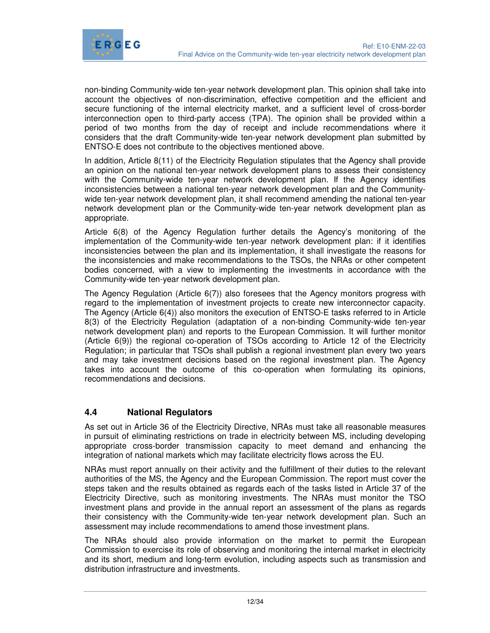

non-binding Community-wide ten-year network development plan. This opinion shall take into account the objectives of non-discrimination, effective competition and the efficient and secure functioning of the internal electricity market, and a sufficient level of cross-border interconnection open to third-party access (TPA). The opinion shall be provided within a period of two months from the day of receipt and include recommendations where it considers that the draft Community-wide ten-year network development plan submitted by ENTSO-E does not contribute to the objectives mentioned above.

In addition, Article 8(11) of the Electricity Regulation stipulates that the Agency shall provide an opinion on the national ten-year network development plans to assess their consistency with the Community-wide ten-year network development plan. If the Agency identifies inconsistencies between a national ten-year network development plan and the Communitywide ten-year network development plan, it shall recommend amending the national ten-year network development plan or the Community-wide ten-year network development plan as appropriate.

Article 6(8) of the Agency Regulation further details the Agency's monitoring of the implementation of the Community-wide ten-year network development plan: if it identifies inconsistencies between the plan and its implementation, it shall investigate the reasons for the inconsistencies and make recommendations to the TSOs, the NRAs or other competent bodies concerned, with a view to implementing the investments in accordance with the Community-wide ten-year network development plan.

The Agency Regulation (Article 6(7)) also foresees that the Agency monitors progress with regard to the implementation of investment projects to create new interconnector capacity. The Agency (Article 6(4)) also monitors the execution of ENTSO-E tasks referred to in Article 8(3) of the Electricity Regulation (adaptation of a non-binding Community-wide ten-year network development plan) and reports to the European Commission. It will further monitor (Article 6(9)) the regional co-operation of TSOs according to Article 12 of the Electricity Regulation; in particular that TSOs shall publish a regional investment plan every two years and may take investment decisions based on the regional investment plan. The Agency takes into account the outcome of this co-operation when formulating its opinions, recommendations and decisions.

#### **4.4 National Regulators**

As set out in Article 36 of the Electricity Directive, NRAs must take all reasonable measures in pursuit of eliminating restrictions on trade in electricity between MS, including developing appropriate cross-border transmission capacity to meet demand and enhancing the integration of national markets which may facilitate electricity flows across the EU.

NRAs must report annually on their activity and the fulfillment of their duties to the relevant authorities of the MS, the Agency and the European Commission. The report must cover the steps taken and the results obtained as regards each of the tasks listed in Article 37 of the Electricity Directive, such as monitoring investments. The NRAs must monitor the TSO investment plans and provide in the annual report an assessment of the plans as regards their consistency with the Community-wide ten-year network development plan. Such an assessment may include recommendations to amend those investment plans.

The NRAs should also provide information on the market to permit the European Commission to exercise its role of observing and monitoring the internal market in electricity and its short, medium and long-term evolution, including aspects such as transmission and distribution infrastructure and investments.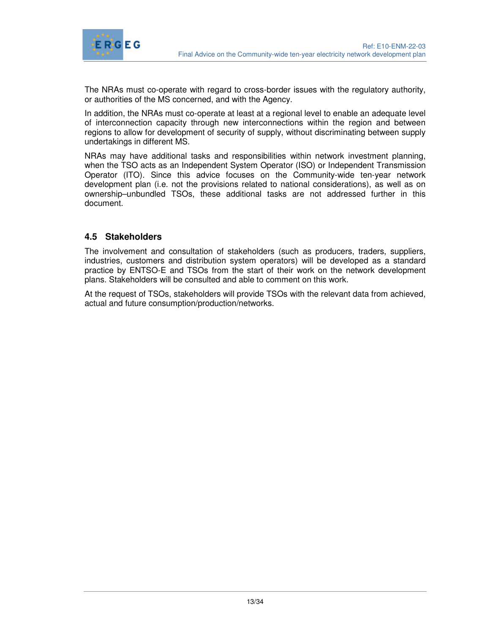

The NRAs must co-operate with regard to cross-border issues with the regulatory authority, or authorities of the MS concerned, and with the Agency.

In addition, the NRAs must co-operate at least at a regional level to enable an adequate level of interconnection capacity through new interconnections within the region and between regions to allow for development of security of supply, without discriminating between supply undertakings in different MS.

NRAs may have additional tasks and responsibilities within network investment planning, when the TSO acts as an Independent System Operator (ISO) or Independent Transmission Operator (ITO). Since this advice focuses on the Community-wide ten-year network development plan (i.e. not the provisions related to national considerations), as well as on ownership–unbundled TSOs, these additional tasks are not addressed further in this document.

#### **4.5 Stakeholders**

The involvement and consultation of stakeholders (such as producers, traders, suppliers, industries, customers and distribution system operators) will be developed as a standard practice by ENTSO-E and TSOs from the start of their work on the network development plans. Stakeholders will be consulted and able to comment on this work.

At the request of TSOs, stakeholders will provide TSOs with the relevant data from achieved, actual and future consumption/production/networks.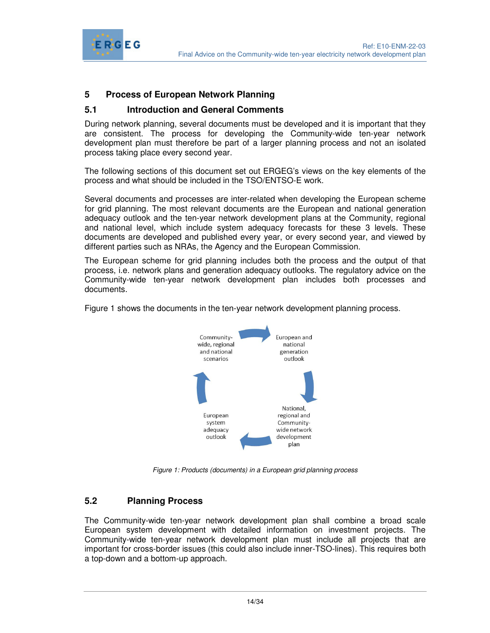

#### **5 Process of European Network Planning**

#### **5.1 Introduction and General Comments**

During network planning, several documents must be developed and it is important that they are consistent. The process for developing the Community-wide ten-year network development plan must therefore be part of a larger planning process and not an isolated process taking place every second year.

The following sections of this document set out ERGEG's views on the key elements of the process and what should be included in the TSO/ENTSO-E work.

Several documents and processes are inter-related when developing the European scheme for grid planning. The most relevant documents are the European and national generation adequacy outlook and the ten-year network development plans at the Community, regional and national level, which include system adequacy forecasts for these 3 levels. These documents are developed and published every year, or every second year, and viewed by different parties such as NRAs, the Agency and the European Commission.

The European scheme for grid planning includes both the process and the output of that process, i.e. network plans and generation adequacy outlooks. The regulatory advice on the Community-wide ten-year network development plan includes both processes and documents.

Figure 1 shows the documents in the ten-year network development planning process.



Figure 1: Products (documents) in a European grid planning process

#### **5.2 Planning Process**

The Community-wide ten-year network development plan shall combine a broad scale European system development with detailed information on investment projects. The Community-wide ten-year network development plan must include all projects that are important for cross-border issues (this could also include inner-TSO-lines). This requires both a top-down and a bottom-up approach.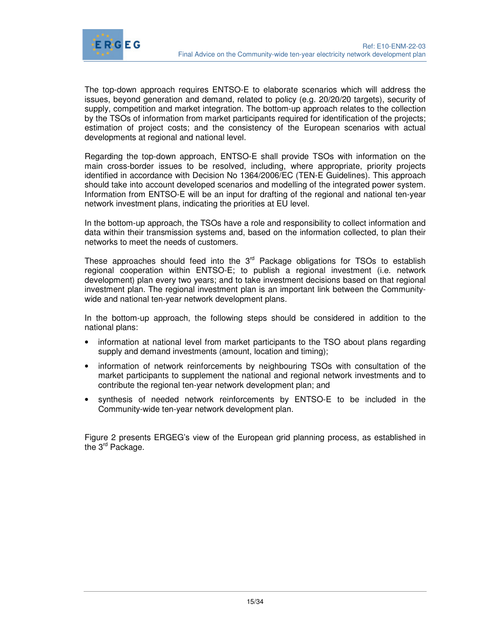

The top-down approach requires ENTSO-E to elaborate scenarios which will address the issues, beyond generation and demand, related to policy (e.g. 20/20/20 targets), security of supply, competition and market integration. The bottom-up approach relates to the collection by the TSOs of information from market participants required for identification of the projects; estimation of project costs; and the consistency of the European scenarios with actual developments at regional and national level.

Regarding the top-down approach, ENTSO-E shall provide TSOs with information on the main cross-border issues to be resolved, including, where appropriate, priority projects identified in accordance with Decision No 1364/2006/EC (TEN-E Guidelines). This approach should take into account developed scenarios and modelling of the integrated power system. Information from ENTSO-E will be an input for drafting of the regional and national ten-year network investment plans, indicating the priorities at EU level.

In the bottom-up approach, the TSOs have a role and responsibility to collect information and data within their transmission systems and, based on the information collected, to plan their networks to meet the needs of customers.

These approaches should feed into the  $3<sup>rd</sup>$  Package obligations for TSOs to establish regional cooperation within ENTSO-E; to publish a regional investment (i.e. network development) plan every two years; and to take investment decisions based on that regional investment plan. The regional investment plan is an important link between the Communitywide and national ten-year network development plans.

In the bottom-up approach, the following steps should be considered in addition to the national plans:

- information at national level from market participants to the TSO about plans regarding supply and demand investments (amount, location and timing);
- information of network reinforcements by neighbouring TSOs with consultation of the market participants to supplement the national and regional network investments and to contribute the regional ten-year network development plan; and
- synthesis of needed network reinforcements by ENTSO-E to be included in the Community-wide ten-year network development plan.

Figure 2 presents ERGEG's view of the European grid planning process, as established in the 3<sup>rd</sup> Package.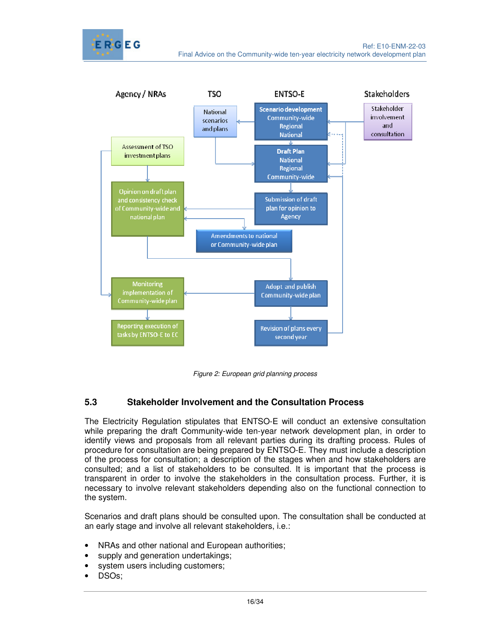



Figure 2: European grid planning process

#### **5.3 Stakeholder Involvement and the Consultation Process**

The Electricity Regulation stipulates that ENTSO-E will conduct an extensive consultation while preparing the draft Community-wide ten-year network development plan, in order to identify views and proposals from all relevant parties during its drafting process. Rules of procedure for consultation are being prepared by ENTSO-E. They must include a description of the process for consultation; a description of the stages when and how stakeholders are consulted; and a list of stakeholders to be consulted. It is important that the process is transparent in order to involve the stakeholders in the consultation process. Further, it is necessary to involve relevant stakeholders depending also on the functional connection to the system.

Scenarios and draft plans should be consulted upon. The consultation shall be conducted at an early stage and involve all relevant stakeholders, i.e.:

- NRAs and other national and European authorities;
- supply and generation undertakings;
- system users including customers;
- DSOs;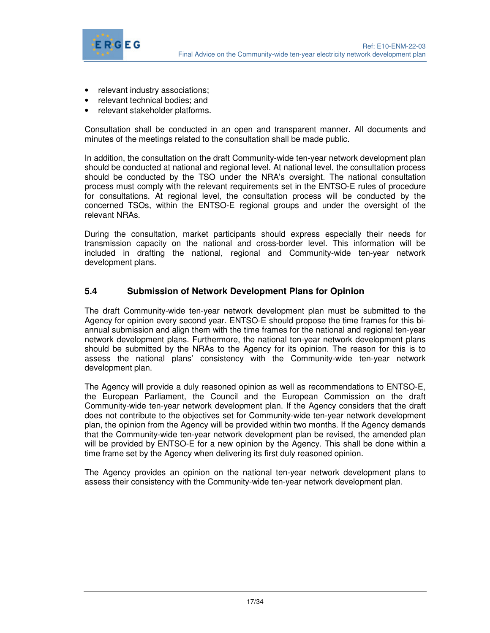

- relevant industry associations;
- relevant technical bodies; and
- relevant stakeholder platforms.

Consultation shall be conducted in an open and transparent manner. All documents and minutes of the meetings related to the consultation shall be made public.

In addition, the consultation on the draft Community-wide ten-year network development plan should be conducted at national and regional level. At national level, the consultation process should be conducted by the TSO under the NRA's oversight. The national consultation process must comply with the relevant requirements set in the ENTSO-E rules of procedure for consultations. At regional level, the consultation process will be conducted by the concerned TSOs, within the ENTSO-E regional groups and under the oversight of the relevant NRAs.

During the consultation, market participants should express especially their needs for transmission capacity on the national and cross-border level. This information will be included in drafting the national, regional and Community-wide ten-year network development plans.

#### **5.4 Submission of Network Development Plans for Opinion**

The draft Community-wide ten-year network development plan must be submitted to the Agency for opinion every second year. ENTSO-E should propose the time frames for this biannual submission and align them with the time frames for the national and regional ten-year network development plans. Furthermore, the national ten-year network development plans should be submitted by the NRAs to the Agency for its opinion. The reason for this is to assess the national plans' consistency with the Community-wide ten-year network development plan.

The Agency will provide a duly reasoned opinion as well as recommendations to ENTSO-E, the European Parliament, the Council and the European Commission on the draft Community-wide ten-year network development plan. If the Agency considers that the draft does not contribute to the objectives set for Community-wide ten-year network development plan, the opinion from the Agency will be provided within two months. If the Agency demands that the Community-wide ten-year network development plan be revised, the amended plan will be provided by ENTSO-E for a new opinion by the Agency. This shall be done within a time frame set by the Agency when delivering its first duly reasoned opinion.

The Agency provides an opinion on the national ten-year network development plans to assess their consistency with the Community-wide ten-year network development plan.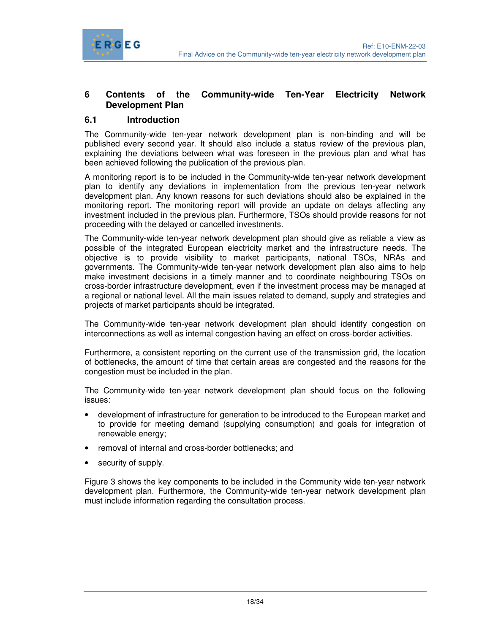

#### **6 Contents of the Community-wide Ten-Year Electricity Network Development Plan**

#### **6.1 Introduction**

The Community-wide ten-year network development plan is non-binding and will be published every second year. It should also include a status review of the previous plan, explaining the deviations between what was foreseen in the previous plan and what has been achieved following the publication of the previous plan.

A monitoring report is to be included in the Community-wide ten-year network development plan to identify any deviations in implementation from the previous ten-year network development plan. Any known reasons for such deviations should also be explained in the monitoring report. The monitoring report will provide an update on delays affecting any investment included in the previous plan. Furthermore, TSOs should provide reasons for not proceeding with the delayed or cancelled investments.

The Community-wide ten-year network development plan should give as reliable a view as possible of the integrated European electricity market and the infrastructure needs. The objective is to provide visibility to market participants, national TSOs, NRAs and governments. The Community-wide ten-year network development plan also aims to help make investment decisions in a timely manner and to coordinate neighbouring TSOs on cross-border infrastructure development, even if the investment process may be managed at a regional or national level. All the main issues related to demand, supply and strategies and projects of market participants should be integrated.

The Community-wide ten-year network development plan should identify congestion on interconnections as well as internal congestion having an effect on cross-border activities.

Furthermore, a consistent reporting on the current use of the transmission grid, the location of bottlenecks, the amount of time that certain areas are congested and the reasons for the congestion must be included in the plan.

The Community-wide ten-year network development plan should focus on the following issues:

- development of infrastructure for generation to be introduced to the European market and to provide for meeting demand (supplying consumption) and goals for integration of renewable energy;
- removal of internal and cross-border bottlenecks; and
- security of supply.

Figure 3 shows the key components to be included in the Community wide ten-year network development plan. Furthermore, the Community-wide ten-year network development plan must include information regarding the consultation process.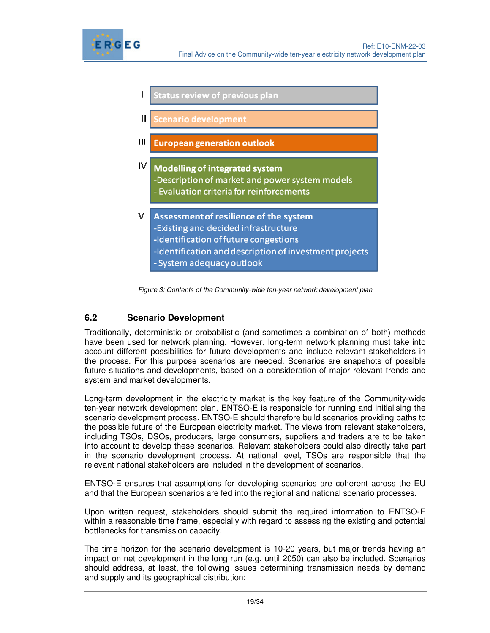

|    | <b>Status review of previous plan</b>                                                                                                                                                                         |  |  |
|----|---------------------------------------------------------------------------------------------------------------------------------------------------------------------------------------------------------------|--|--|
| II | <b>Scenario development</b>                                                                                                                                                                                   |  |  |
| Ш  | <b>European generation outlook</b>                                                                                                                                                                            |  |  |
| W  | <b>Modelling of integrated system</b><br>-Description of market and power system models<br>- Evaluation criteria for reinforcements                                                                           |  |  |
| v  | Assessment of resilience of the system<br>-Existing and decided infrastructure<br>-Identification of future congestions<br>-Identification and description of investment projects<br>System adoptions outlook |  |  |

Figure 3: Contents of the Community-wide ten-year network development plan

#### **6.2 Scenario Development**

Traditionally, deterministic or probabilistic (and sometimes a combination of both) methods have been used for network planning. However, long-term network planning must take into account different possibilities for future developments and include relevant stakeholders in the process. For this purpose scenarios are needed. Scenarios are snapshots of possible future situations and developments, based on a consideration of major relevant trends and system and market developments.

Long-term development in the electricity market is the key feature of the Community-wide ten-year network development plan. ENTSO-E is responsible for running and initialising the scenario development process. ENTSO-E should therefore build scenarios providing paths to the possible future of the European electricity market. The views from relevant stakeholders, including TSOs, DSOs, producers, large consumers, suppliers and traders are to be taken into account to develop these scenarios. Relevant stakeholders could also directly take part in the scenario development process. At national level, TSOs are responsible that the relevant national stakeholders are included in the development of scenarios.

ENTSO-E ensures that assumptions for developing scenarios are coherent across the EU and that the European scenarios are fed into the regional and national scenario processes.

Upon written request, stakeholders should submit the required information to ENTSO-E within a reasonable time frame, especially with regard to assessing the existing and potential bottlenecks for transmission capacity.

The time horizon for the scenario development is 10-20 years, but major trends having an impact on net development in the long run (e.g. until 2050) can also be included. Scenarios should address, at least, the following issues determining transmission needs by demand and supply and its geographical distribution: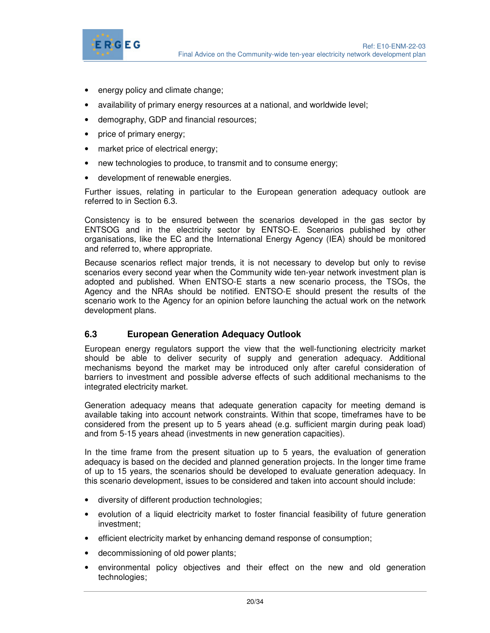

- energy policy and climate change;
- availability of primary energy resources at a national, and worldwide level;
- demography, GDP and financial resources;
- price of primary energy;
- market price of electrical energy;
- new technologies to produce, to transmit and to consume energy;
- development of renewable energies.

Further issues, relating in particular to the European generation adequacy outlook are referred to in Section 6.3.

Consistency is to be ensured between the scenarios developed in the gas sector by ENTSOG and in the electricity sector by ENTSO-E. Scenarios published by other organisations, like the EC and the International Energy Agency (IEA) should be monitored and referred to, where appropriate.

Because scenarios reflect major trends, it is not necessary to develop but only to revise scenarios every second year when the Community wide ten-year network investment plan is adopted and published. When ENTSO-E starts a new scenario process, the TSOs, the Agency and the NRAs should be notified. ENTSO-E should present the results of the scenario work to the Agency for an opinion before launching the actual work on the network development plans.

#### **6.3 European Generation Adequacy Outlook**

European energy regulators support the view that the well-functioning electricity market should be able to deliver security of supply and generation adequacy. Additional mechanisms beyond the market may be introduced only after careful consideration of barriers to investment and possible adverse effects of such additional mechanisms to the integrated electricity market.

Generation adequacy means that adequate generation capacity for meeting demand is available taking into account network constraints. Within that scope, timeframes have to be considered from the present up to 5 years ahead (e.g. sufficient margin during peak load) and from 5-15 years ahead (investments in new generation capacities).

In the time frame from the present situation up to 5 years, the evaluation of generation adequacy is based on the decided and planned generation projects. In the longer time frame of up to 15 years, the scenarios should be developed to evaluate generation adequacy. In this scenario development, issues to be considered and taken into account should include:

- diversity of different production technologies;
- evolution of a liquid electricity market to foster financial feasibility of future generation investment;
- efficient electricity market by enhancing demand response of consumption;
- decommissioning of old power plants;
- environmental policy objectives and their effect on the new and old generation technologies;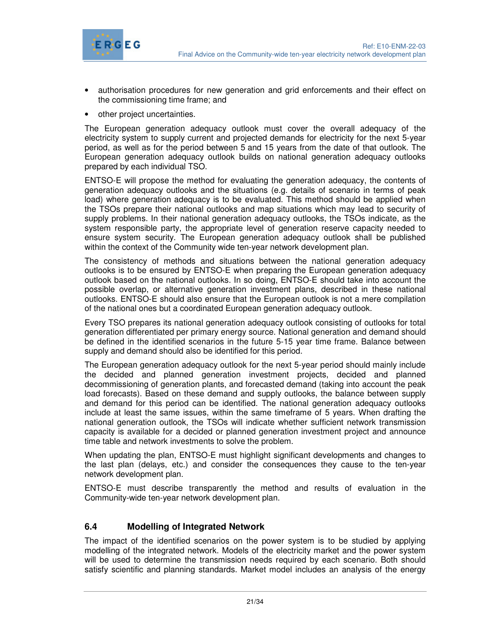

- authorisation procedures for new generation and grid enforcements and their effect on the commissioning time frame; and
- other project uncertainties.

The European generation adequacy outlook must cover the overall adequacy of the electricity system to supply current and projected demands for electricity for the next 5-year period, as well as for the period between 5 and 15 years from the date of that outlook. The European generation adequacy outlook builds on national generation adequacy outlooks prepared by each individual TSO.

ENTSO-E will propose the method for evaluating the generation adequacy, the contents of generation adequacy outlooks and the situations (e.g. details of scenario in terms of peak load) where generation adequacy is to be evaluated. This method should be applied when the TSOs prepare their national outlooks and map situations which may lead to security of supply problems. In their national generation adequacy outlooks, the TSOs indicate, as the system responsible party, the appropriate level of generation reserve capacity needed to ensure system security. The European generation adequacy outlook shall be published within the context of the Community wide ten-year network development plan.

The consistency of methods and situations between the national generation adequacy outlooks is to be ensured by ENTSO-E when preparing the European generation adequacy outlook based on the national outlooks. In so doing, ENTSO-E should take into account the possible overlap, or alternative generation investment plans, described in these national outlooks. ENTSO-E should also ensure that the European outlook is not a mere compilation of the national ones but a coordinated European generation adequacy outlook.

Every TSO prepares its national generation adequacy outlook consisting of outlooks for total generation differentiated per primary energy source. National generation and demand should be defined in the identified scenarios in the future 5-15 year time frame. Balance between supply and demand should also be identified for this period.

The European generation adequacy outlook for the next 5-year period should mainly include the decided and planned generation investment projects, decided and planned decommissioning of generation plants, and forecasted demand (taking into account the peak load forecasts). Based on these demand and supply outlooks, the balance between supply and demand for this period can be identified. The national generation adequacy outlooks include at least the same issues, within the same timeframe of 5 years. When drafting the national generation outlook, the TSOs will indicate whether sufficient network transmission capacity is available for a decided or planned generation investment project and announce time table and network investments to solve the problem.

When updating the plan, ENTSO-E must highlight significant developments and changes to the last plan (delays, etc.) and consider the consequences they cause to the ten-year network development plan.

ENTSO-E must describe transparently the method and results of evaluation in the Community-wide ten-year network development plan.

#### **6.4 Modelling of Integrated Network**

The impact of the identified scenarios on the power system is to be studied by applying modelling of the integrated network. Models of the electricity market and the power system will be used to determine the transmission needs required by each scenario. Both should satisfy scientific and planning standards. Market model includes an analysis of the energy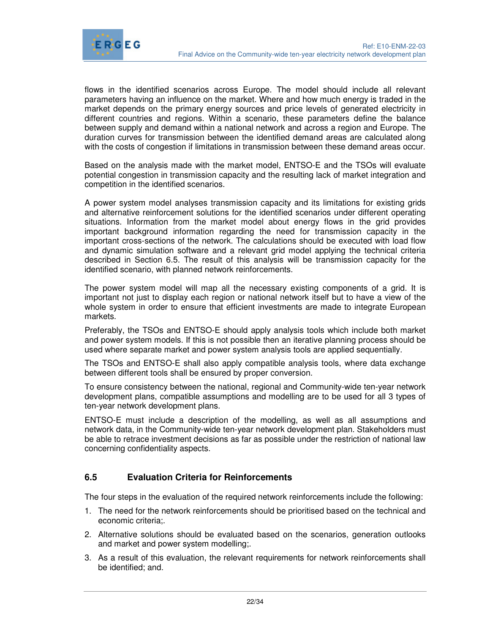

flows in the identified scenarios across Europe. The model should include all relevant parameters having an influence on the market. Where and how much energy is traded in the market depends on the primary energy sources and price levels of generated electricity in different countries and regions. Within a scenario, these parameters define the balance between supply and demand within a national network and across a region and Europe. The duration curves for transmission between the identified demand areas are calculated along with the costs of congestion if limitations in transmission between these demand areas occur.

Based on the analysis made with the market model, ENTSO-E and the TSOs will evaluate potential congestion in transmission capacity and the resulting lack of market integration and competition in the identified scenarios.

A power system model analyses transmission capacity and its limitations for existing grids and alternative reinforcement solutions for the identified scenarios under different operating situations. Information from the market model about energy flows in the grid provides important background information regarding the need for transmission capacity in the important cross-sections of the network. The calculations should be executed with load flow and dynamic simulation software and a relevant grid model applying the technical criteria described in Section 6.5. The result of this analysis will be transmission capacity for the identified scenario, with planned network reinforcements.

The power system model will map all the necessary existing components of a grid. It is important not just to display each region or national network itself but to have a view of the whole system in order to ensure that efficient investments are made to integrate European markets.

Preferably, the TSOs and ENTSO-E should apply analysis tools which include both market and power system models. If this is not possible then an iterative planning process should be used where separate market and power system analysis tools are applied sequentially.

The TSOs and ENTSO-E shall also apply compatible analysis tools, where data exchange between different tools shall be ensured by proper conversion.

To ensure consistency between the national, regional and Community-wide ten-year network development plans, compatible assumptions and modelling are to be used for all 3 types of ten-year network development plans.

ENTSO-E must include a description of the modelling, as well as all assumptions and network data, in the Community-wide ten-year network development plan. Stakeholders must be able to retrace investment decisions as far as possible under the restriction of national law concerning confidentiality aspects.

#### **6.5 Evaluation Criteria for Reinforcements**

The four steps in the evaluation of the required network reinforcements include the following:

- 1. The need for the network reinforcements should be prioritised based on the technical and economic criteria;.
- 2. Alternative solutions should be evaluated based on the scenarios, generation outlooks and market and power system modelling;.
- 3. As a result of this evaluation, the relevant requirements for network reinforcements shall be identified; and.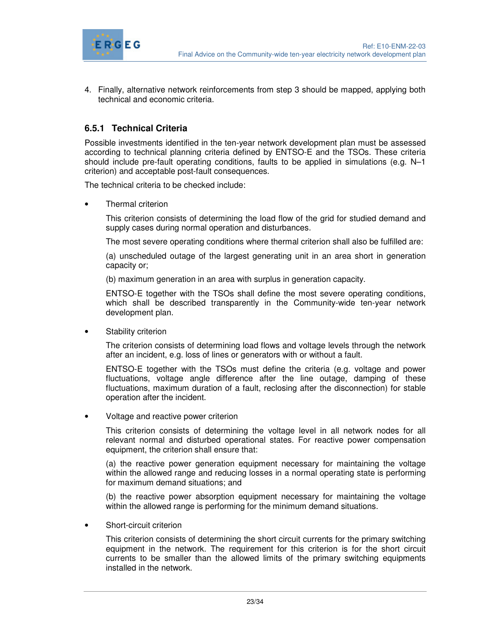

4. Finally, alternative network reinforcements from step 3 should be mapped, applying both technical and economic criteria.

#### **6.5.1 Technical Criteria**

Possible investments identified in the ten-year network development plan must be assessed according to technical planning criteria defined by ENTSO-E and the TSOs. These criteria should include pre-fault operating conditions, faults to be applied in simulations (e.g. N–1 criterion) and acceptable post-fault consequences.

The technical criteria to be checked include:

• Thermal criterion

This criterion consists of determining the load flow of the grid for studied demand and supply cases during normal operation and disturbances.

The most severe operating conditions where thermal criterion shall also be fulfilled are:

(a) unscheduled outage of the largest generating unit in an area short in generation capacity or;

(b) maximum generation in an area with surplus in generation capacity.

ENTSO-E together with the TSOs shall define the most severe operating conditions, which shall be described transparently in the Community-wide ten-year network development plan.

Stability criterion

The criterion consists of determining load flows and voltage levels through the network after an incident, e.g. loss of lines or generators with or without a fault.

ENTSO-E together with the TSOs must define the criteria (e.g. voltage and power fluctuations, voltage angle difference after the line outage, damping of these fluctuations, maximum duration of a fault, reclosing after the disconnection) for stable operation after the incident.

• Voltage and reactive power criterion

This criterion consists of determining the voltage level in all network nodes for all relevant normal and disturbed operational states. For reactive power compensation equipment, the criterion shall ensure that:

(a) the reactive power generation equipment necessary for maintaining the voltage within the allowed range and reducing losses in a normal operating state is performing for maximum demand situations; and

(b) the reactive power absorption equipment necessary for maintaining the voltage within the allowed range is performing for the minimum demand situations.

Short-circuit criterion

This criterion consists of determining the short circuit currents for the primary switching equipment in the network. The requirement for this criterion is for the short circuit currents to be smaller than the allowed limits of the primary switching equipments installed in the network.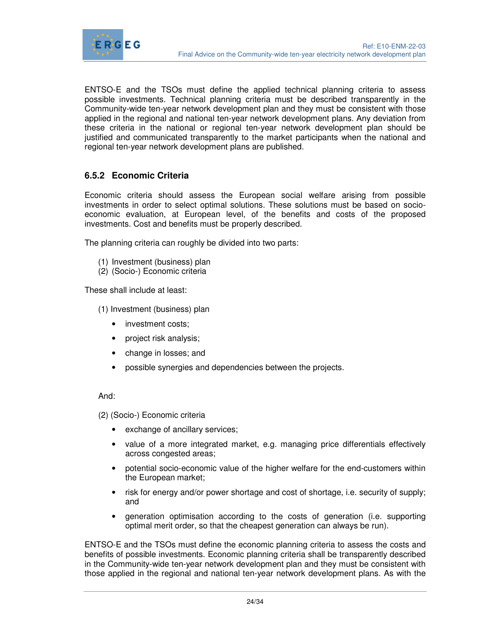

ENTSO-E and the TSOs must define the applied technical planning criteria to assess possible investments. Technical planning criteria must be described transparently in the Community-wide ten-year network development plan and they must be consistent with those applied in the regional and national ten-year network development plans. Any deviation from these criteria in the national or regional ten-year network development plan should be justified and communicated transparently to the market participants when the national and regional ten-year network development plans are published.

#### **6.5.2 Economic Criteria**

Economic criteria should assess the European social welfare arising from possible investments in order to select optimal solutions. These solutions must be based on socioeconomic evaluation, at European level, of the benefits and costs of the proposed investments. Cost and benefits must be properly described.

The planning criteria can roughly be divided into two parts:

- (1) Investment (business) plan
- (2) (Socio-) Economic criteria

These shall include at least:

- (1) Investment (business) plan
	- investment costs;
	- project risk analysis;
	- change in losses; and
	- possible synergies and dependencies between the projects.

#### And:

(2) (Socio-) Economic criteria

- exchange of ancillary services;
- value of a more integrated market, e.g. managing price differentials effectively across congested areas;
- potential socio-economic value of the higher welfare for the end-customers within the European market;
- risk for energy and/or power shortage and cost of shortage, i.e. security of supply; and
- generation optimisation according to the costs of generation (i.e. supporting optimal merit order, so that the cheapest generation can always be run).

ENTSO-E and the TSOs must define the economic planning criteria to assess the costs and benefits of possible investments. Economic planning criteria shall be transparently described in the Community-wide ten-year network development plan and they must be consistent with those applied in the regional and national ten-year network development plans. As with the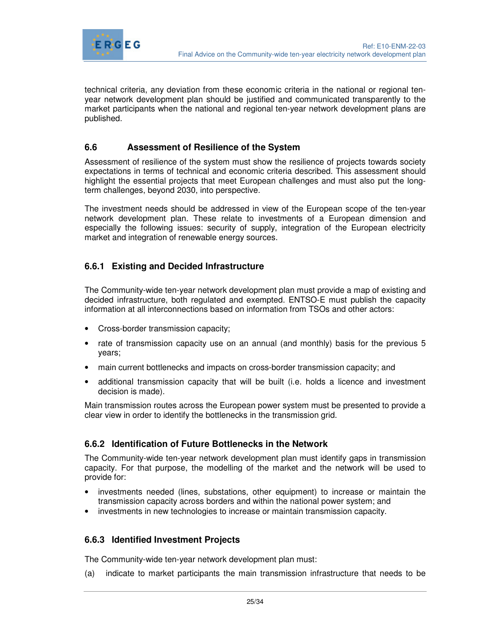

technical criteria, any deviation from these economic criteria in the national or regional tenyear network development plan should be justified and communicated transparently to the market participants when the national and regional ten-year network development plans are published.

#### **6.6 Assessment of Resilience of the System**

Assessment of resilience of the system must show the resilience of projects towards society expectations in terms of technical and economic criteria described. This assessment should highlight the essential projects that meet European challenges and must also put the longterm challenges, beyond 2030, into perspective.

The investment needs should be addressed in view of the European scope of the ten-year network development plan. These relate to investments of a European dimension and especially the following issues: security of supply, integration of the European electricity market and integration of renewable energy sources.

#### **6.6.1 Existing and Decided Infrastructure**

The Community-wide ten-year network development plan must provide a map of existing and decided infrastructure, both regulated and exempted. ENTSO-E must publish the capacity information at all interconnections based on information from TSOs and other actors:

- Cross-border transmission capacity;
- rate of transmission capacity use on an annual (and monthly) basis for the previous 5 years;
- main current bottlenecks and impacts on cross-border transmission capacity; and
- additional transmission capacity that will be built (i.e. holds a licence and investment decision is made).

Main transmission routes across the European power system must be presented to provide a clear view in order to identify the bottlenecks in the transmission grid.

#### **6.6.2 Identification of Future Bottlenecks in the Network**

The Community-wide ten-year network development plan must identify gaps in transmission capacity. For that purpose, the modelling of the market and the network will be used to provide for:

- investments needed (lines, substations, other equipment) to increase or maintain the transmission capacity across borders and within the national power system; and
- investments in new technologies to increase or maintain transmission capacity.

#### **6.6.3 Identified Investment Projects**

The Community-wide ten-year network development plan must:

(a) indicate to market participants the main transmission infrastructure that needs to be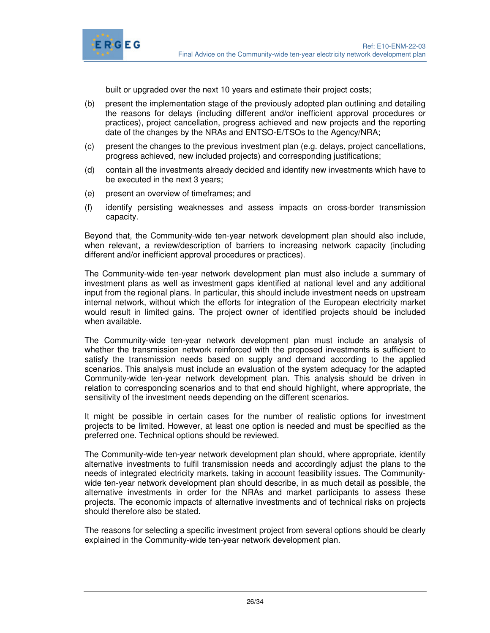

built or upgraded over the next 10 years and estimate their project costs;

- (b) present the implementation stage of the previously adopted plan outlining and detailing the reasons for delays (including different and/or inefficient approval procedures or practices), project cancellation, progress achieved and new projects and the reporting date of the changes by the NRAs and ENTSO-E/TSOs to the Agency/NRA;
- (c) present the changes to the previous investment plan (e.g. delays, project cancellations, progress achieved, new included projects) and corresponding justifications;
- (d) contain all the investments already decided and identify new investments which have to be executed in the next 3 years;
- (e) present an overview of timeframes; and
- (f) identify persisting weaknesses and assess impacts on cross-border transmission capacity.

Beyond that, the Community-wide ten-year network development plan should also include, when relevant, a review/description of barriers to increasing network capacity (including different and/or inefficient approval procedures or practices).

The Community-wide ten-year network development plan must also include a summary of investment plans as well as investment gaps identified at national level and any additional input from the regional plans. In particular, this should include investment needs on upstream internal network, without which the efforts for integration of the European electricity market would result in limited gains. The project owner of identified projects should be included when available.

The Community-wide ten-year network development plan must include an analysis of whether the transmission network reinforced with the proposed investments is sufficient to satisfy the transmission needs based on supply and demand according to the applied scenarios. This analysis must include an evaluation of the system adequacy for the adapted Community-wide ten-year network development plan. This analysis should be driven in relation to corresponding scenarios and to that end should highlight, where appropriate, the sensitivity of the investment needs depending on the different scenarios.

It might be possible in certain cases for the number of realistic options for investment projects to be limited. However, at least one option is needed and must be specified as the preferred one. Technical options should be reviewed.

The Community-wide ten-year network development plan should, where appropriate, identify alternative investments to fulfil transmission needs and accordingly adjust the plans to the needs of integrated electricity markets, taking in account feasibility issues. The Communitywide ten-year network development plan should describe, in as much detail as possible, the alternative investments in order for the NRAs and market participants to assess these projects. The economic impacts of alternative investments and of technical risks on projects should therefore also be stated.

The reasons for selecting a specific investment project from several options should be clearly explained in the Community-wide ten-year network development plan.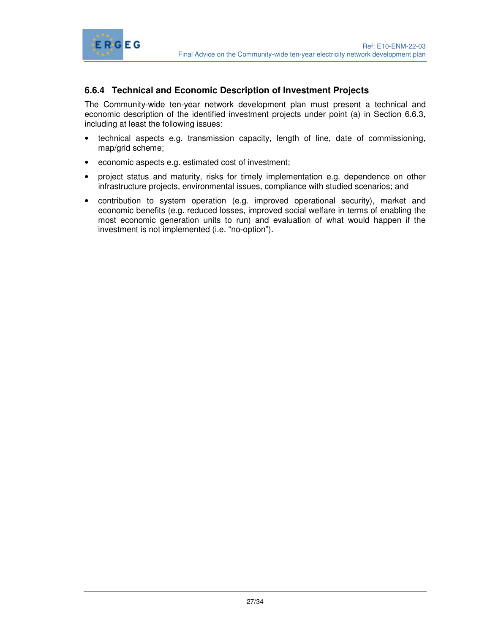

#### **6.6.4 Technical and Economic Description of Investment Projects**

The Community-wide ten-year network development plan must present a technical and economic description of the identified investment projects under point (a) in Section 6.6.3, including at least the following issues:

- technical aspects e.g. transmission capacity, length of line, date of commissioning, map/grid scheme;
- economic aspects e.g. estimated cost of investment;
- project status and maturity, risks for timely implementation e.g. dependence on other infrastructure projects, environmental issues, compliance with studied scenarios; and
- contribution to system operation (e.g. improved operational security), market and economic benefits (e.g. reduced losses, improved social welfare in terms of enabling the most economic generation units to run) and evaluation of what would happen if the investment is not implemented (i.e. "no-option").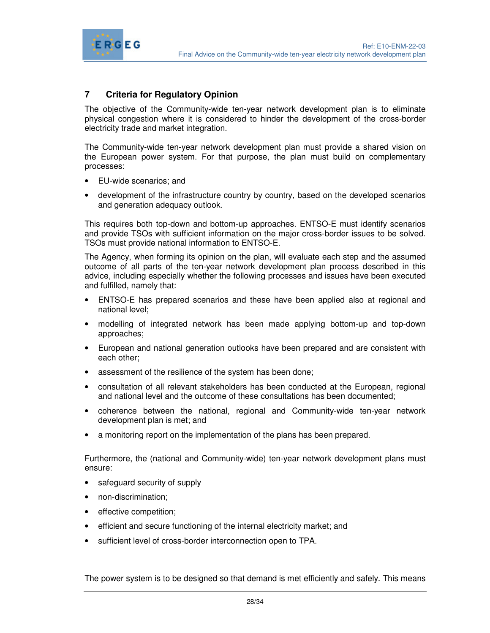

#### **7 Criteria for Regulatory Opinion**

The objective of the Community-wide ten-year network development plan is to eliminate physical congestion where it is considered to hinder the development of the cross-border electricity trade and market integration.

The Community-wide ten-year network development plan must provide a shared vision on the European power system. For that purpose, the plan must build on complementary processes:

- EU-wide scenarios; and
- development of the infrastructure country by country, based on the developed scenarios and generation adequacy outlook.

This requires both top-down and bottom-up approaches. ENTSO-E must identify scenarios and provide TSOs with sufficient information on the major cross-border issues to be solved. TSOs must provide national information to ENTSO-E.

The Agency, when forming its opinion on the plan, will evaluate each step and the assumed outcome of all parts of the ten-year network development plan process described in this advice, including especially whether the following processes and issues have been executed and fulfilled, namely that:

- ENTSO-E has prepared scenarios and these have been applied also at regional and national level;
- modelling of integrated network has been made applying bottom-up and top-down approaches;
- European and national generation outlooks have been prepared and are consistent with each other;
- assessment of the resilience of the system has been done;
- consultation of all relevant stakeholders has been conducted at the European, regional and national level and the outcome of these consultations has been documented;
- coherence between the national, regional and Community-wide ten-year network development plan is met; and
- a monitoring report on the implementation of the plans has been prepared.

Furthermore, the (national and Community-wide) ten-year network development plans must ensure:

- safeguard security of supply
- non-discrimination;
- effective competition;
- efficient and secure functioning of the internal electricity market; and
- sufficient level of cross-border interconnection open to TPA.

The power system is to be designed so that demand is met efficiently and safely. This means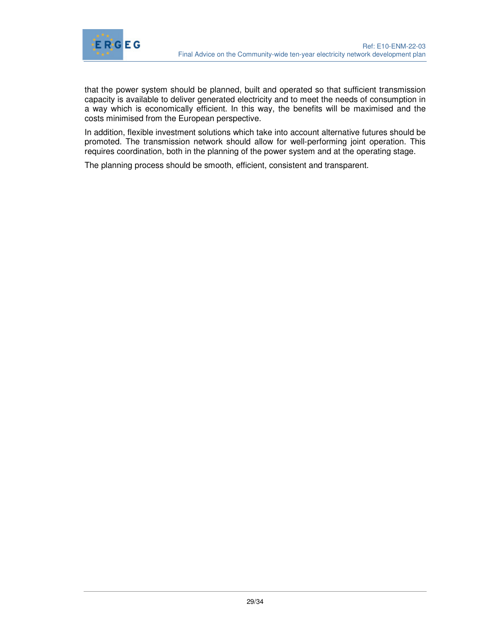

that the power system should be planned, built and operated so that sufficient transmission capacity is available to deliver generated electricity and to meet the needs of consumption in a way which is economically efficient. In this way, the benefits will be maximised and the costs minimised from the European perspective.

In addition, flexible investment solutions which take into account alternative futures should be promoted. The transmission network should allow for well-performing joint operation. This requires coordination, both in the planning of the power system and at the operating stage.

The planning process should be smooth, efficient, consistent and transparent.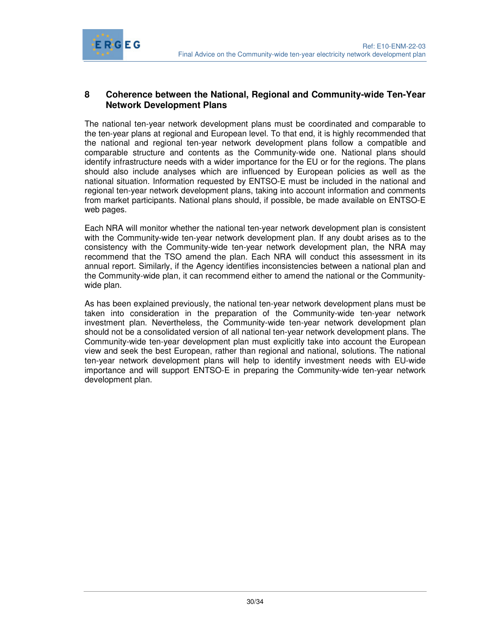

#### **8 Coherence between the National, Regional and Community-wide Ten-Year Network Development Plans**

The national ten-year network development plans must be coordinated and comparable to the ten-year plans at regional and European level. To that end, it is highly recommended that the national and regional ten-year network development plans follow a compatible and comparable structure and contents as the Community-wide one. National plans should identify infrastructure needs with a wider importance for the EU or for the regions. The plans should also include analyses which are influenced by European policies as well as the national situation. Information requested by ENTSO-E must be included in the national and regional ten-year network development plans, taking into account information and comments from market participants. National plans should, if possible, be made available on ENTSO-E web pages.

Each NRA will monitor whether the national ten-year network development plan is consistent with the Community-wide ten-year network development plan. If any doubt arises as to the consistency with the Community-wide ten-year network development plan, the NRA may recommend that the TSO amend the plan. Each NRA will conduct this assessment in its annual report. Similarly, if the Agency identifies inconsistencies between a national plan and the Community-wide plan, it can recommend either to amend the national or the Communitywide plan.

As has been explained previously, the national ten-year network development plans must be taken into consideration in the preparation of the Community-wide ten-year network investment plan. Nevertheless, the Community-wide ten-year network development plan should not be a consolidated version of all national ten-year network development plans. The Community-wide ten-year development plan must explicitly take into account the European view and seek the best European, rather than regional and national, solutions. The national ten-year network development plans will help to identify investment needs with EU-wide importance and will support ENTSO-E in preparing the Community-wide ten-year network development plan.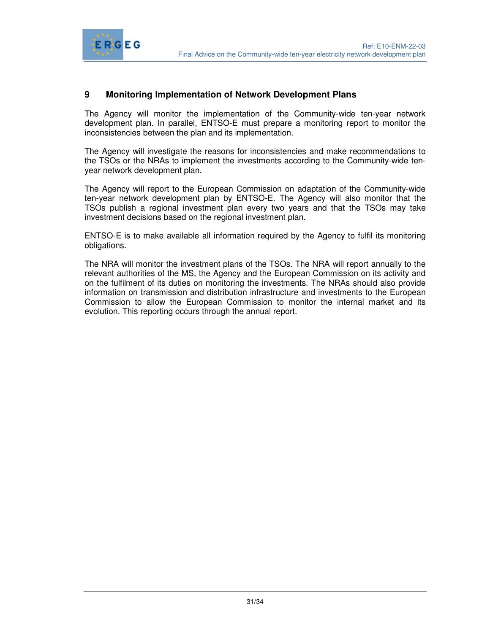

#### **9 Monitoring Implementation of Network Development Plans**

ERGEG

The Agency will monitor the implementation of the Community-wide ten-year network development plan. In parallel, ENTSO-E must prepare a monitoring report to monitor the inconsistencies between the plan and its implementation.

The Agency will investigate the reasons for inconsistencies and make recommendations to the TSOs or the NRAs to implement the investments according to the Community-wide tenyear network development plan.

The Agency will report to the European Commission on adaptation of the Community-wide ten-year network development plan by ENTSO-E. The Agency will also monitor that the TSOs publish a regional investment plan every two years and that the TSOs may take investment decisions based on the regional investment plan.

ENTSO-E is to make available all information required by the Agency to fulfil its monitoring obligations.

The NRA will monitor the investment plans of the TSOs. The NRA will report annually to the relevant authorities of the MS, the Agency and the European Commission on its activity and on the fulfilment of its duties on monitoring the investments. The NRAs should also provide information on transmission and distribution infrastructure and investments to the European Commission to allow the European Commission to monitor the internal market and its evolution. This reporting occurs through the annual report.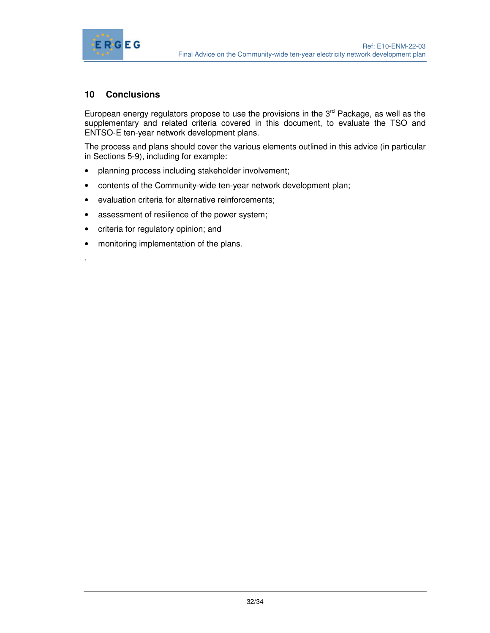

#### **10 Conclusions**

.

European energy regulators propose to use the provisions in the  $3<sup>rd</sup>$  Package, as well as the supplementary and related criteria covered in this document, to evaluate the TSO and ENTSO-E ten-year network development plans.

The process and plans should cover the various elements outlined in this advice (in particular in Sections 5-9), including for example:

- planning process including stakeholder involvement;
- contents of the Community-wide ten-year network development plan;
- evaluation criteria for alternative reinforcements;
- assessment of resilience of the power system;
- criteria for regulatory opinion; and
- monitoring implementation of the plans.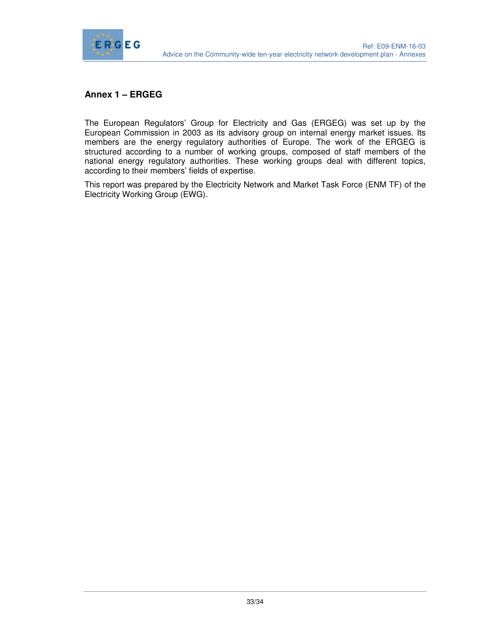

#### **Annex 1 – ERGEG**

The European Regulators' Group for Electricity and Gas (ERGEG) was set up by the European Commission in 2003 as its advisory group on internal energy market issues. Its members are the energy regulatory authorities of Europe. The work of the ERGEG is structured according to a number of working groups, composed of staff members of the national energy regulatory authorities. These working groups deal with different topics, according to their members' fields of expertise.

This report was prepared by the Electricity Network and Market Task Force (ENM TF) of the Electricity Working Group (EWG).